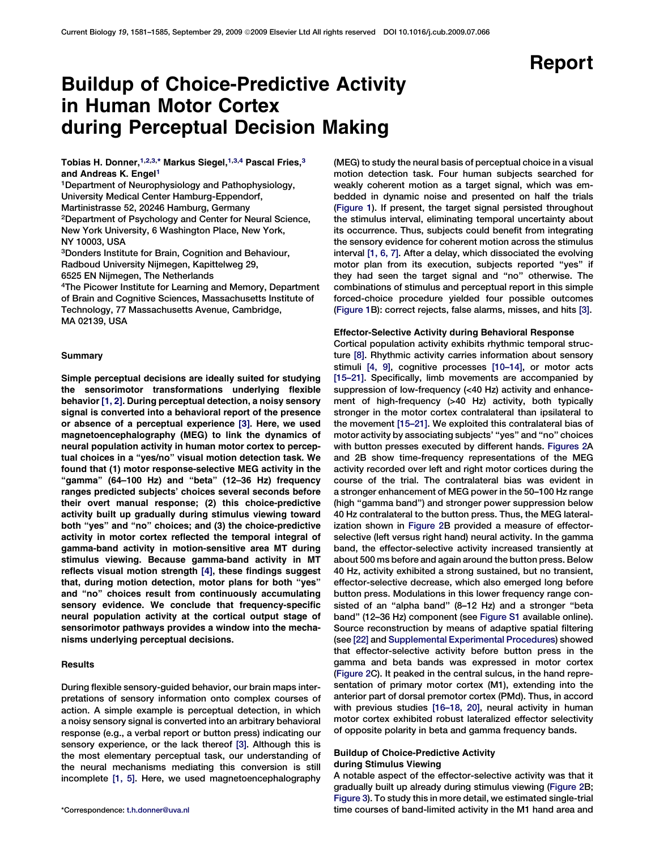# Report

# Buildup of Choice-Predictive Activity in Human Motor Cortex during Perceptual Decision Making

Tobias H. Donner, $^{1,2,3,\ast}$  Markus Siegel, $^{1,3,4}$  Pascal Fries, $^3$ and Andreas K. Engel<sup>1</sup>

1Department of Neurophysiology and Pathophysiology, University Medical Center Hamburg-Eppendorf, Martinistrasse 52, 20246 Hamburg, Germany 2Department of Psychology and Center for Neural Science, New York University, 6 Washington Place, New York, NY 10003, USA

3Donders Institute for Brain, Cognition and Behaviour, Radboud University Nijmegen, Kapittelweg 29, 6525 EN Nijmegen, The Netherlands

4The Picower Institute for Learning and Memory, Department of Brain and Cognitive Sciences, Massachusetts Institute of Technology, 77 Massachusetts Avenue, Cambridge, MA 02139, USA

#### Summary

Simple perceptual decisions are ideally suited for studying the sensorimotor transformations underlying flexible behavior [\[1, 2\].](#page-3-0) During perceptual detection, a noisy sensory signal is converted into a behavioral report of the presence or absence of a perceptual experience [\[3\]](#page-3-0). Here, we used magnetoencephalography (MEG) to link the dynamics of neural population activity in human motor cortex to perceptual choices in a ''yes/no'' visual motion detection task. We found that (1) motor response-selective MEG activity in the "gamma" (64–100 Hz) and "beta" (12–36 Hz) frequency ranges predicted subjects' choices several seconds before their overt manual response; (2) this choice-predictive activity built up gradually during stimulus viewing toward both ''yes'' and ''no'' choices; and (3) the choice-predictive activity in motor cortex reflected the temporal integral of gamma-band activity in motion-sensitive area MT during stimulus viewing. Because gamma-band activity in MT reflects visual motion strength [\[4\],](#page-4-0) these findings suggest that, during motion detection, motor plans for both ''yes'' and ''no'' choices result from continuously accumulating sensory evidence. We conclude that frequency-specific neural population activity at the cortical output stage of sensorimotor pathways provides a window into the mechanisms underlying perceptual decisions.

## **Results**

During flexible sensory-guided behavior, our brain maps interpretations of sensory information onto complex courses of action. A simple example is perceptual detection, in which a noisy sensory signal is converted into an arbitrary behavioral response (e.g., a verbal report or button press) indicating our sensory experience, or the lack thereof [\[3\]](#page-3-0). Although this is the most elementary perceptual task, our understanding of the neural mechanisms mediating this conversion is still incomplete [\[1, 5\]](#page-3-0). Here, we used magnetoencephalography

(MEG) to study the neural basis of perceptual choice in a visual motion detection task. Four human subjects searched for weakly coherent motion as a target signal, which was embedded in dynamic noise and presented on half the trials ([Figure 1\)](#page-1-0). If present, the target signal persisted throughout the stimulus interval, eliminating temporal uncertainty about its occurrence. Thus, subjects could benefit from integrating the sensory evidence for coherent motion across the stimulus interval [\[1, 6, 7\]](#page-3-0). After a delay, which dissociated the evolving motor plan from its execution, subjects reported ''yes'' if they had seen the target signal and ''no'' otherwise. The combinations of stimulus and perceptual report in this simple forced-choice procedure yielded four possible outcomes ([Figure 1B](#page-1-0)): correct rejects, false alarms, misses, and hits [\[3\]](#page-3-0).

#### Effector-Selective Activity during Behavioral Response

Cortical population activity exhibits rhythmic temporal structure [\[8\].](#page-4-0) Rhythmic activity carries information about sensory stimuli [\[4, 9\],](#page-4-0) cognitive processes [\[10–14\]](#page-4-0), or motor acts [\[15–21\]](#page-4-0). Specifically, limb movements are accompanied by suppression of low-frequency (<40 Hz) activity and enhancement of high-frequency (>40 Hz) activity, both typically stronger in the motor cortex contralateral than ipsilateral to the movement [\[15–21\].](#page-4-0) We exploited this contralateral bias of motor activity by associating subjects' ''yes'' and ''no'' choices with button presses executed by different hands. [Figures 2A](#page-1-0) and 2B show time-frequency representations of the MEG activity recorded over left and right motor cortices during the course of the trial. The contralateral bias was evident in a stronger enhancement of MEG power in the 50–100 Hz range (high ''gamma band'') and stronger power suppression below 40 Hz contralateral to the button press. Thus, the MEG lateralization shown in [Figure 2B](#page-1-0) provided a measure of effectorselective (left versus right hand) neural activity. In the gamma band, the effector-selective activity increased transiently at about 500 ms before and again around the button press. Below 40 Hz, activity exhibited a strong sustained, but no transient, effector-selective decrease, which also emerged long before button press. Modulations in this lower frequency range consisted of an ''alpha band'' (8–12 Hz) and a stronger ''beta band'' (12–36 Hz) component (see [Figure S1](#page-3-0) available online). Source reconstruction by means of adaptive spatial filtering (see [\[22\]](#page-4-0) and [Supplemental Experimental Procedures\)](#page-3-0) showed that effector-selective activity before button press in the gamma and beta bands was expressed in motor cortex ([Figure 2C](#page-1-0)). It peaked in the central sulcus, in the hand representation of primary motor cortex (M1), extending into the anterior part of dorsal premotor cortex (PMd). Thus, in accord with previous studies [\[16–18, 20\]](#page-4-0), neural activity in human motor cortex exhibited robust lateralized effector selectivity of opposite polarity in beta and gamma frequency bands.

### Buildup of Choice-Predictive Activity during Stimulus Viewing

A notable aspect of the effector-selective activity was that it gradually built up already during stimulus viewing [\(Figure 2](#page-1-0)B; [Figure 3\)](#page-2-0). To study this in more detail, we estimated single-trial \*Correspondence: [t.h.donner@uva.nl](mailto:t.h.donner@uva.nl) time courses of band-limited activity in the M1 hand area and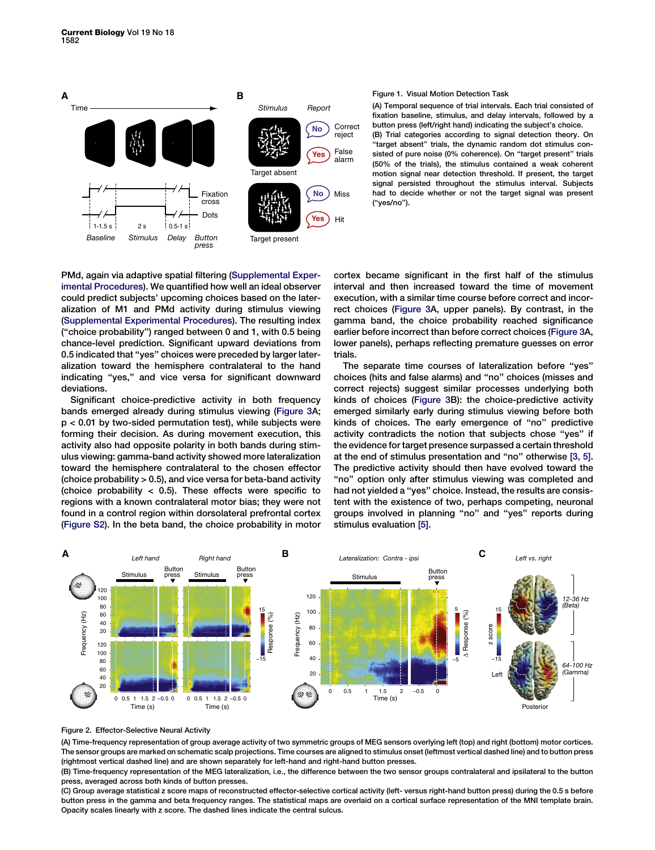<span id="page-1-0"></span>

#### Figure 1. Visual Motion Detection Task

(A) Temporal sequence of trial intervals. Each trial consisted of fixation baseline, stimulus, and delay intervals, followed by a button press (left/right hand) indicating the subject's choice. (B) Trial categories according to signal detection theory. On "target absent" trials, the dynamic random dot stimulus consisted of pure noise (0% coherence). On "target present" trials (50% of the trials), the stimulus contained a weak coherent motion signal near detection threshold. If present, the target signal persisted throughout the stimulus interval. Subjects had to decide whether or not the target signal was present (''yes/no'').

PMd, again via adaptive spatial filtering [\(Supplemental Exper](#page-3-0)[imental Procedures\)](#page-3-0). We quantified how well an ideal observer could predict subjects' upcoming choices based on the lateralization of M1 and PMd activity during stimulus viewing ([Supplemental Experimental Procedures\)](#page-3-0). The resulting index (''choice probability'') ranged between 0 and 1, with 0.5 being chance-level prediction. Significant upward deviations from 0.5 indicated that ''yes'' choices were preceded by larger lateralization toward the hemisphere contralateral to the hand indicating ''yes,'' and vice versa for significant downward deviations.

Significant choice-predictive activity in both frequency bands emerged already during stimulus viewing ([Figure 3](#page-2-0)A; p < 0.01 by two-sided permutation test), while subjects were forming their decision. As during movement execution, this activity also had opposite polarity in both bands during stimulus viewing: gamma-band activity showed more lateralization toward the hemisphere contralateral to the chosen effector (choice probability > 0.5), and vice versa for beta-band activity (choice probability  $<$  0.5). These effects were specific to regions with a known contralateral motor bias; they were not found in a control region within dorsolateral prefrontal cortex ([Figure S2](#page-3-0)). In the beta band, the choice probability in motor cortex became significant in the first half of the stimulus interval and then increased toward the time of movement execution, with a similar time course before correct and incorrect choices [\(Figure 3A](#page-2-0), upper panels). By contrast, in the gamma band, the choice probability reached significance earlier before incorrect than before correct choices [\(Figure 3A](#page-2-0), lower panels), perhaps reflecting premature guesses on error trials.

The separate time courses of lateralization before ''yes'' choices (hits and false alarms) and ''no'' choices (misses and correct rejects) suggest similar processes underlying both kinds of choices ([Figure 3](#page-2-0)B): the choice-predictive activity emerged similarly early during stimulus viewing before both kinds of choices. The early emergence of ''no'' predictive activity contradicts the notion that subjects chose ''yes'' if the evidence for target presence surpassed a certain threshold at the end of stimulus presentation and ''no'' otherwise [\[3, 5\]](#page-3-0). The predictive activity should then have evolved toward the "no" option only after stimulus viewing was completed and had not yielded a ''yes'' choice. Instead, the results are consistent with the existence of two, perhaps competing, neuronal groups involved in planning ''no'' and ''yes'' reports during stimulus evaluation [\[5\].](#page-4-0)



Figure 2. Effector-Selective Neural Activity

(A) Time-frequency representation of group average activity of two symmetric groups of MEG sensors overlying left (top) and right (bottom) motor cortices. The sensor groups are marked on schematic scalp projections. Time courses are aligned to stimulus onset (leftmost vertical dashed line) and to button press (rightmost vertical dashed line) and are shown separately for left-hand and right-hand button presses.

(B) Time-frequency representation of the MEG lateralization, i.e., the difference between the two sensor groups contralateral and ipsilateral to the button press, averaged across both kinds of button presses.

(C) Group average statistical z score maps of reconstructed effector-selective cortical activity (left- versus right-hand button press) during the 0.5 s before button press in the gamma and beta frequency ranges. The statistical maps are overlaid on a cortical surface representation of the MNI template brain. Opacity scales linearly with z score. The dashed lines indicate the central sulcus.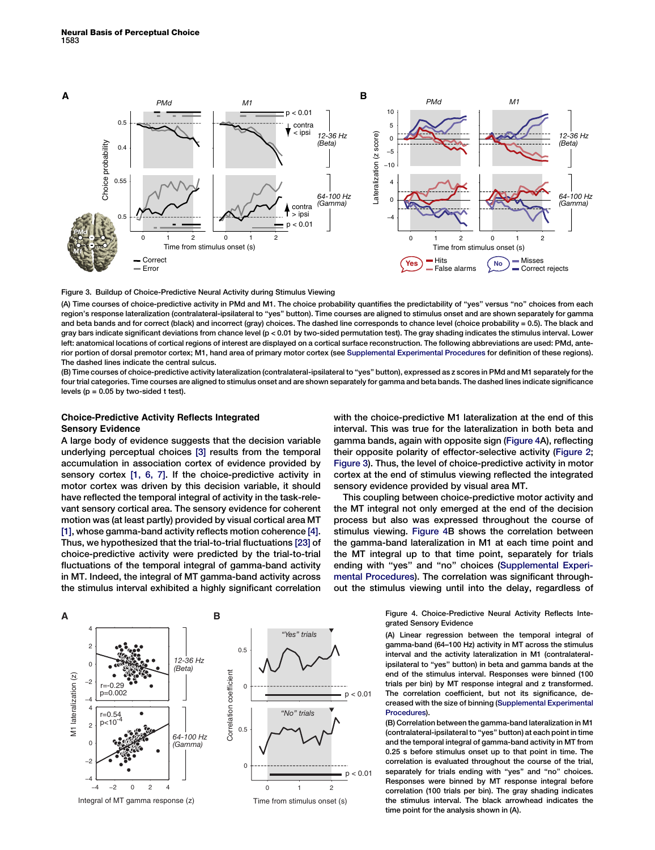<span id="page-2-0"></span>

#### Figure 3. Buildup of Choice-Predictive Neural Activity during Stimulus Viewing

(A) Time courses of choice-predictive activity in PMd and M1. The choice probability quantifies the predictability of ''yes'' versus ''no'' choices from each region's response lateralization (contralateral-ipsilateral to "yes" button). Time courses are aligned to stimulus onset and are shown separately for gamma and beta bands and for correct (black) and incorrect (gray) choices. The dashed line corresponds to chance level (choice probability = 0.5). The black and gray bars indicate significant deviations from chance level (p < 0.01 by two-sided permutation test). The gray shading indicates the stimulus interval. Lower left: anatomical locations of cortical regions of interest are displayed on a cortical surface reconstruction. The following abbreviations are used: PMd, anterior portion of dorsal premotor cortex; M1, hand area of primary motor cortex (see [Supplemental Experimental Procedures](#page-3-0) for definition of these regions). The dashed lines indicate the central sulcus.

(B) Time courses of choice-predictive activity lateralization (contralateral-ipsilateral to ''yes'' button), expressed as z scores in PMd and M1 separately for the four trial categories. Time courses are aligned to stimulus onset and are shown separately for gamma and beta bands. The dashed lines indicate significance levels ( $p = 0.05$  by two-sided t test).

# Choice-Predictive Activity Reflects Integrated Sensory Evidence

A large body of evidence suggests that the decision variable underlying perceptual choices [\[3\]](#page-3-0) results from the temporal accumulation in association cortex of evidence provided by sensory cortex [\[1, 6, 7\]](#page-3-0). If the choice-predictive activity in motor cortex was driven by this decision variable, it should have reflected the temporal integral of activity in the task-relevant sensory cortical area. The sensory evidence for coherent motion was (at least partly) provided by visual cortical area MT [\[1\]](#page-3-0), whose gamma-band activity reflects motion coherence [\[4\]](#page-4-0). Thus, we hypothesized that the trial-to-trial fluctuations [\[23\]](#page-4-0) of choice-predictive activity were predicted by the trial-to-trial fluctuations of the temporal integral of gamma-band activity in MT. Indeed, the integral of MT gamma-band activity across the stimulus interval exhibited a highly significant correlation



with the choice-predictive M1 lateralization at the end of this interval. This was true for the lateralization in both beta and gamma bands, again with opposite sign (Figure 4A), reflecting their opposite polarity of effector-selective activity ([Figure 2](#page-1-0); Figure 3). Thus, the level of choice-predictive activity in motor cortex at the end of stimulus viewing reflected the integrated sensory evidence provided by visual area MT.

This coupling between choice-predictive motor activity and the MT integral not only emerged at the end of the decision process but also was expressed throughout the course of stimulus viewing. Figure 4B shows the correlation between the gamma-band lateralization in M1 at each time point and the MT integral up to that time point, separately for trials ending with ''yes'' and ''no'' choices ([Supplemental Experi](#page-3-0)[mental Procedures\)](#page-3-0). The correlation was significant throughout the stimulus viewing until into the delay, regardless of

> Figure 4. Choice-Predictive Neural Activity Reflects Integrated Sensory Evidence

> (A) Linear regression between the temporal integral of gamma-band (64–100 Hz) activity in MT across the stimulus interval and the activity lateralization in M1 (contralateralipsilateral to "yes" button) in beta and gamma bands at the end of the stimulus interval. Responses were binned (100 trials per bin) by MT response integral and z transformed. The correlation coefficient, but not its significance, decreased with the size of binning [\(Supplemental Experimental](#page-3-0) [Procedures](#page-3-0)).

> (B) Correlation between the gamma-band lateralization in M1 (contralateral-ipsilateral to ''yes'' button) at each point in time and the temporal integral of gamma-band activity in MT from 0.25 s before stimulus onset up to that point in time. The correlation is evaluated throughout the course of the trial, separately for trials ending with ''yes'' and ''no'' choices. Responses were binned by MT response integral before correlation (100 trials per bin). The gray shading indicates the stimulus interval. The black arrowhead indicates the time point for the analysis shown in (A).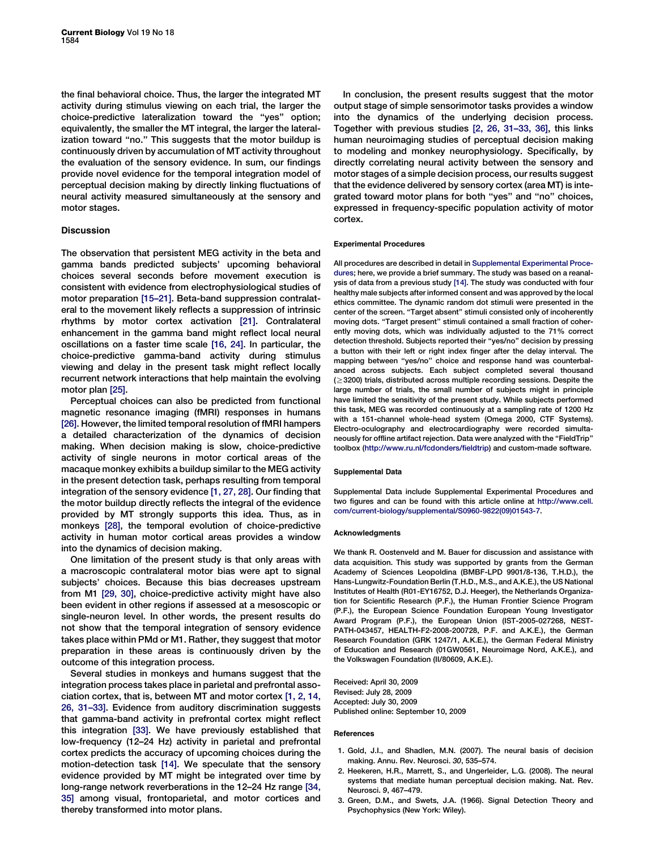<span id="page-3-0"></span>the final behavioral choice. Thus, the larger the integrated MT activity during stimulus viewing on each trial, the larger the choice-predictive lateralization toward the ''yes'' option; equivalently, the smaller the MT integral, the larger the lateralization toward "no." This suggests that the motor buildup is continuously driven by accumulation of MT activity throughout the evaluation of the sensory evidence. In sum, our findings provide novel evidence for the temporal integration model of perceptual decision making by directly linking fluctuations of neural activity measured simultaneously at the sensory and motor stages.

### **Discussion**

The observation that persistent MEG activity in the beta and gamma bands predicted subjects' upcoming behavioral choices several seconds before movement execution is consistent with evidence from electrophysiological studies of motor preparation [\[15–21\]](#page-4-0). Beta-band suppression contralateral to the movement likely reflects a suppression of intrinsic rhythms by motor cortex activation [\[21\]](#page-4-0). Contralateral enhancement in the gamma band might reflect local neural oscillations on a faster time scale [\[16, 24\]](#page-4-0). In particular, the choice-predictive gamma-band activity during stimulus viewing and delay in the present task might reflect locally recurrent network interactions that help maintain the evolving motor plan [\[25\]](#page-4-0).

Perceptual choices can also be predicted from functional magnetic resonance imaging (fMRI) responses in humans [\[26\].](#page-4-0) However, the limited temporal resolution of fMRI hampers a detailed characterization of the dynamics of decision making. When decision making is slow, choice-predictive activity of single neurons in motor cortical areas of the macaque monkey exhibits a buildup similar to the MEG activity in the present detection task, perhaps resulting from temporal integration of the sensory evidence [1, 27, 28]. Our finding that the motor buildup directly reflects the integral of the evidence provided by MT strongly supports this idea. Thus, as in monkeys [\[28\],](#page-4-0) the temporal evolution of choice-predictive activity in human motor cortical areas provides a window into the dynamics of decision making.

One limitation of the present study is that only areas with a macroscopic contralateral motor bias were apt to signal subjects' choices. Because this bias decreases upstream from M1 [\[29, 30\]](#page-4-0), choice-predictive activity might have also been evident in other regions if assessed at a mesoscopic or single-neuron level. In other words, the present results do not show that the temporal integration of sensory evidence takes place within PMd or M1. Rather, they suggest that motor preparation in these areas is continuously driven by the outcome of this integration process.

Several studies in monkeys and humans suggest that the integration process takes place in parietal and prefrontal association cortex, that is, between MT and motor cortex [1, 2, 14, 26, 31–33]. Evidence from auditory discrimination suggests that gamma-band activity in prefrontal cortex might reflect this integration [\[33\].](#page-4-0) We have previously established that low-frequency (12–24 Hz) activity in parietal and prefrontal cortex predicts the accuracy of upcoming choices during the motion-detection task [\[14\].](#page-4-0) We speculate that the sensory evidence provided by MT might be integrated over time by long-range network reverberations in the 12–24 Hz range [\[34,](#page-4-0) [35\]](#page-4-0) among visual, frontoparietal, and motor cortices and thereby transformed into motor plans.

In conclusion, the present results suggest that the motor output stage of simple sensorimotor tasks provides a window into the dynamics of the underlying decision process. Together with previous studies [2, 26, 31–33, 36], this links human neuroimaging studies of perceptual decision making to modeling and monkey neurophysiology. Specifically, by directly correlating neural activity between the sensory and motor stages of a simple decision process, our results suggest that the evidence delivered by sensory cortex (area MT) is integrated toward motor plans for both ''yes'' and ''no'' choices, expressed in frequency-specific population activity of motor cortex.

#### Experimental Procedures

All procedures are described in detail in Supplemental Experimental Procedures; here, we provide a brief summary. The study was based on a reanalysis of data from a previous study [\[14\].](#page-4-0) The study was conducted with four healthy male subjects after informed consent and was approved by the local ethics committee. The dynamic random dot stimuli were presented in the center of the screen. ''Target absent'' stimuli consisted only of incoherently moving dots. ''Target present'' stimuli contained a small fraction of coherently moving dots, which was individually adjusted to the 71% correct detection threshold. Subjects reported their ''yes/no'' decision by pressing a button with their left or right index finger after the delay interval. The mapping between ''yes/no'' choice and response hand was counterbalanced across subjects. Each subject completed several thousand  $(>3200)$  trials, distributed across multiple recording sessions. Despite the large number of trials, the small number of subjects might in principle have limited the sensitivity of the present study. While subjects performed this task, MEG was recorded continuously at a sampling rate of 1200 Hz with a 151-channel whole-head system (Omega 2000, CTF Systems). Electro-oculography and electrocardiography were recorded simultaneously for offline artifact rejection. Data were analyzed with the "FieldTrip" toolbox (<http://www.ru.nl/fcdonders/fieldtrip>) and custom-made software.

#### Supplemental Data

Supplemental Data include Supplemental Experimental Procedures and two figures and can be found with this article online at [http://www.cell.](http://www.cell.com/current-biology/supplemental/S0960-9822(09)01543-7) [com/current-biology/supplemental/S0960-9822\(09\)01543-7.](http://www.cell.com/current-biology/supplemental/S0960-9822(09)01543-7)

#### Acknowledgments

We thank R. Oostenveld and M. Bauer for discussion and assistance with data acquisition. This study was supported by grants from the German Academy of Sciences Leopoldina (BMBF-LPD 9901/8-136, T.H.D.), the Hans-Lungwitz-Foundation Berlin (T.H.D., M.S., and A.K.E.), the US National Institutes of Health (R01-EY16752, D.J. Heeger), the Netherlands Organization for Scientific Research (P.F.), the Human Frontier Science Program (P.F.), the European Science Foundation European Young Investigator Award Program (P.F.), the European Union (IST-2005-027268, NEST-PATH-043457, HEALTH-F2-2008-200728, P.F. and A.K.E.), the German Research Foundation (GRK 1247/1, A.K.E.), the German Federal Ministry of Education and Research (01GW0561, Neuroimage Nord, A.K.E.), and the Volkswagen Foundation (II/80609, A.K.E.).

Received: April 30, 2009 Revised: July 28, 2009 Accepted: July 30, 2009 Published online: September 10, 2009

#### References

- 1. Gold, J.I., and Shadlen, M.N. (2007). The neural basis of decision making. Annu. Rev. Neurosci. 30, 535–574.
- 2. Heekeren, H.R., Marrett, S., and Ungerleider, L.G. (2008). The neural systems that mediate human perceptual decision making. Nat. Rev. Neurosci. 9, 467–479.
- 3. Green, D.M., and Swets, J.A. (1966). Signal Detection Theory and Psychophysics (New York: Wiley).